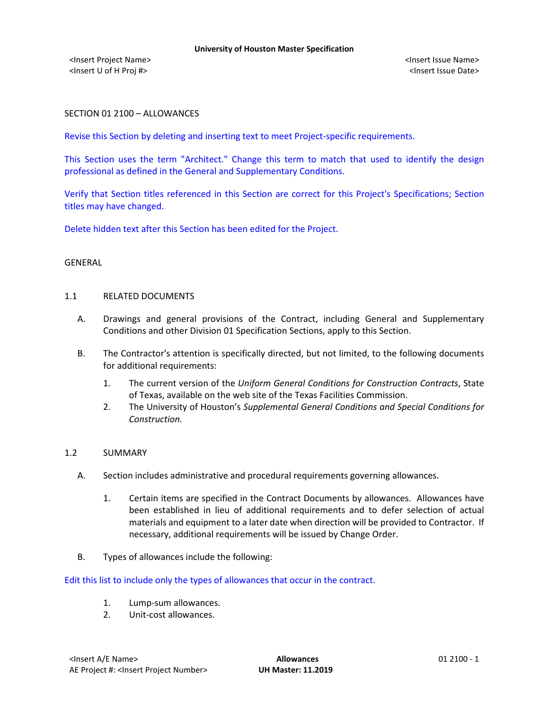## SECTION 01 2100 – ALLOWANCES

Revise this Section by deleting and inserting text to meet Project-specific requirements.

This Section uses the term "Architect." Change this term to match that used to identify the design professional as defined in the General and Supplementary Conditions.

Verify that Section titles referenced in this Section are correct for this Project's Specifications; Section titles may have changed.

Delete hidden text after this Section has been edited for the Project.

#### GENERAL

### 1.1 RELATED DOCUMENTS

- A. Drawings and general provisions of the Contract, including General and Supplementary Conditions and other Division 01 Specification Sections, apply to this Section.
- B. The Contractor's attention is specifically directed, but not limited, to the following documents for additional requirements:
	- 1. The current version of the *Uniform General Conditions for Construction Contracts*, State of Texas, available on the web site of the Texas Facilities Commission.
	- 2. The University of Houston's *Supplemental General Conditions and Special Conditions for Construction.*

### 1.2 SUMMARY

- A. Section includes administrative and procedural requirements governing allowances.
	- 1. Certain items are specified in the Contract Documents by allowances. Allowances have been established in lieu of additional requirements and to defer selection of actual materials and equipment to a later date when direction will be provided to Contractor. If necessary, additional requirements will be issued by Change Order.
- B. Types of allowances include the following:

Edit this list to include only the types of allowances that occur in the contract.

- 1. Lump-sum allowances.
- 2. Unit-cost allowances.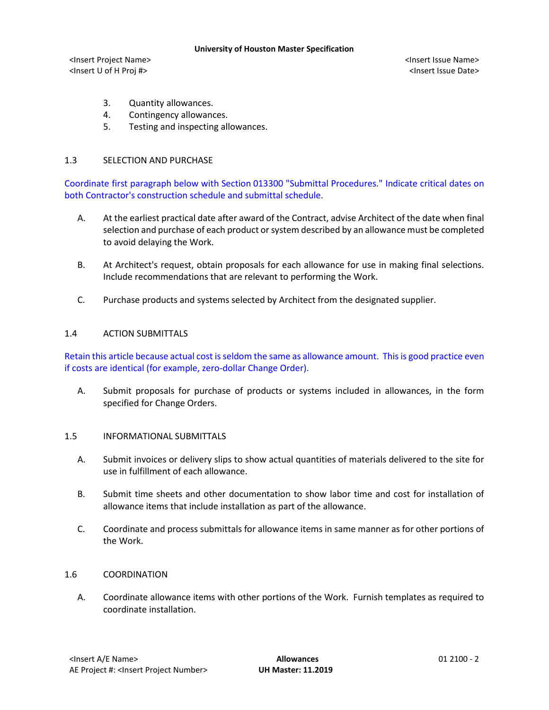#### **University of Houston Master Specification**

<Insert Project Name> <Insert Issue Name> <Insert U of H Proj #> <Insert Issue Date>

- 3. Quantity allowances.
- 4. Contingency allowances.
- 5. Testing and inspecting allowances.

# 1.3 SELECTION AND PURCHASE

Coordinate first paragraph below with Section 013300 "Submittal Procedures." Indicate critical dates on both Contractor's construction schedule and submittal schedule.

- A. At the earliest practical date after award of the Contract, advise Architect of the date when final selection and purchase of each product or system described by an allowance must be completed to avoid delaying the Work.
- B. At Architect's request, obtain proposals for each allowance for use in making final selections. Include recommendations that are relevant to performing the Work.
- C. Purchase products and systems selected by Architect from the designated supplier.

# 1.4 ACTION SUBMITTALS

Retain this article because actual cost is seldom the same as allowance amount. This is good practice even if costs are identical (for example, zero-dollar Change Order).

A. Submit proposals for purchase of products or systems included in allowances, in the form specified for Change Orders.

# 1.5 INFORMATIONAL SUBMITTALS

- A. Submit invoices or delivery slips to show actual quantities of materials delivered to the site for use in fulfillment of each allowance.
- B. Submit time sheets and other documentation to show labor time and cost for installation of allowance items that include installation as part of the allowance.
- C. Coordinate and process submittals for allowance items in same manner as for other portions of the Work.

## 1.6 COORDINATION

A. Coordinate allowance items with other portions of the Work. Furnish templates as required to coordinate installation.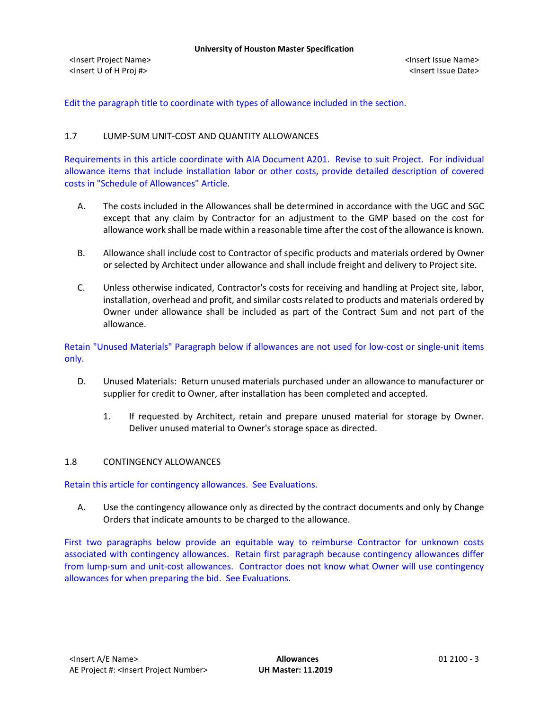Edit the paragraph title to coordinate with types of allowance included in the section.

# 1.7 LUMP-SUM UNIT-COST AND QUANTITY ALLOWANCES

Requirements in this article coordinate with AIA Document A201. Revise to suit Project. For individual allowance items that include installation labor or other costs, provide detailed description of covered costs in "Schedule of Allowances" Article.

- A. The costs included in the Allowances shall be determined in accordance with the UGC and SGC except that any claim by Contractor for an adjustment to the GMP based on the cost for allowance work shall be made within a reasonable time after the cost of the allowance is known.
- B. Allowance shall include cost to Contractor of specific products and materials ordered by Owner or selected by Architect under allowance and shall include freight and delivery to Project site.
- C. Unless otherwise indicated, Contractor's costs for receiving and handling at Project site, labor, installation, overhead and profit, and similar costs related to products and materials ordered by Owner under allowance shall be included as part of the Contract Sum and not part of the allowance.

Retain "Unused Materials" Paragraph below if allowances are not used for low-cost or single-unit items only.

- D. Unused Materials: Return unused materials purchased under an allowance to manufacturer or supplier for credit to Owner, after installation has been completed and accepted.
	- 1. If requested by Architect, retain and prepare unused material for storage by Owner. Deliver unused material to Owner's storage space as directed.

### 1.8 CONTINGENCY ALLOWANCES

Retain this article for contingency allowances. See Evaluations.

A. Use the contingency allowance only as directed by the contract documents and only by Change Orders that indicate amounts to be charged to the allowance.

First two paragraphs below provide an equitable way to reimburse Contractor for unknown costs associated with contingency allowances. Retain first paragraph because contingency allowances differ from lump-sum and unit-cost allowances. Contractor does not know what Owner will use contingency allowances for when preparing the bid. See Evaluations.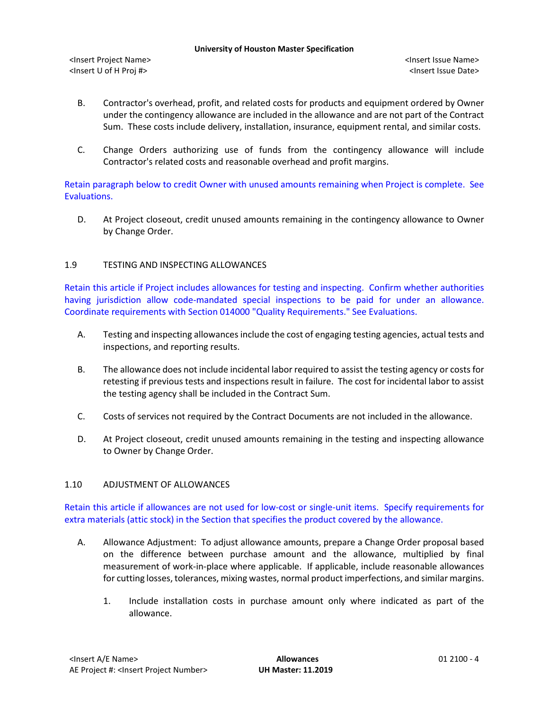- B. Contractor's overhead, profit, and related costs for products and equipment ordered by Owner under the contingency allowance are included in the allowance and are not part of the Contract Sum. These costs include delivery, installation, insurance, equipment rental, and similar costs.
- C. Change Orders authorizing use of funds from the contingency allowance will include Contractor's related costs and reasonable overhead and profit margins.

Retain paragraph below to credit Owner with unused amounts remaining when Project is complete. See Evaluations.

D. At Project closeout, credit unused amounts remaining in the contingency allowance to Owner by Change Order.

# 1.9 TESTING AND INSPECTING ALLOWANCES

Retain this article if Project includes allowances for testing and inspecting. Confirm whether authorities having jurisdiction allow code-mandated special inspections to be paid for under an allowance. Coordinate requirements with Section 014000 "Quality Requirements." See Evaluations.

- A. Testing and inspecting allowances include the cost of engaging testing agencies, actual tests and inspections, and reporting results.
- B. The allowance does not include incidental labor required to assist the testing agency or costs for retesting if previous tests and inspections result in failure. The cost for incidental labor to assist the testing agency shall be included in the Contract Sum.
- C. Costs of services not required by the Contract Documents are not included in the allowance.
- D. At Project closeout, credit unused amounts remaining in the testing and inspecting allowance to Owner by Change Order.

# 1.10 ADJUSTMENT OF ALLOWANCES

Retain this article if allowances are not used for low-cost or single-unit items. Specify requirements for extra materials (attic stock) in the Section that specifies the product covered by the allowance.

- A. Allowance Adjustment: To adjust allowance amounts, prepare a Change Order proposal based on the difference between purchase amount and the allowance, multiplied by final measurement of work-in-place where applicable. If applicable, include reasonable allowances for cutting losses, tolerances, mixing wastes, normal product imperfections, and similar margins.
	- 1. Include installation costs in purchase amount only where indicated as part of the allowance.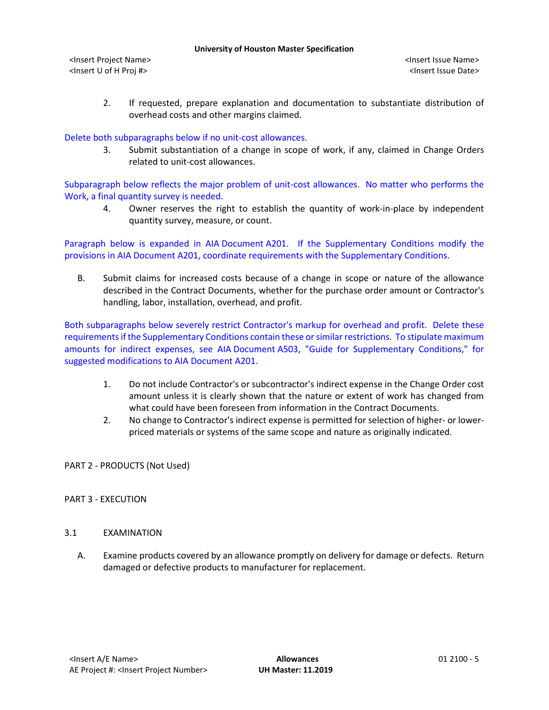2. If requested, prepare explanation and documentation to substantiate distribution of overhead costs and other margins claimed.

Delete both subparagraphs below if no unit-cost allowances.

3. Submit substantiation of a change in scope of work, if any, claimed in Change Orders related to unit-cost allowances.

Subparagraph below reflects the major problem of unit-cost allowances. No matter who performs the Work, a final quantity survey is needed.

4. Owner reserves the right to establish the quantity of work-in-place by independent quantity survey, measure, or count.

Paragraph below is expanded in AIA Document A201. If the Supplementary Conditions modify the provisions in AIA Document A201, coordinate requirements with the Supplementary Conditions.

B. Submit claims for increased costs because of a change in scope or nature of the allowance described in the Contract Documents, whether for the purchase order amount or Contractor's handling, labor, installation, overhead, and profit.

Both subparagraphs below severely restrict Contractor's markup for overhead and profit. Delete these requirements if the Supplementary Conditions contain these or similar restrictions. To stipulate maximum amounts for indirect expenses, see AIA Document A503, "Guide for Supplementary Conditions," for suggested modifications to AIA Document A201.

- 1. Do not include Contractor's or subcontractor's indirect expense in the Change Order cost amount unless it is clearly shown that the nature or extent of work has changed from what could have been foreseen from information in the Contract Documents.
- 2. No change to Contractor's indirect expense is permitted for selection of higher- or lowerpriced materials or systems of the same scope and nature as originally indicated.

PART 2 - PRODUCTS (Not Used)

### PART 3 - EXECUTION

## 3.1 EXAMINATION

A. Examine products covered by an allowance promptly on delivery for damage or defects. Return damaged or defective products to manufacturer for replacement.